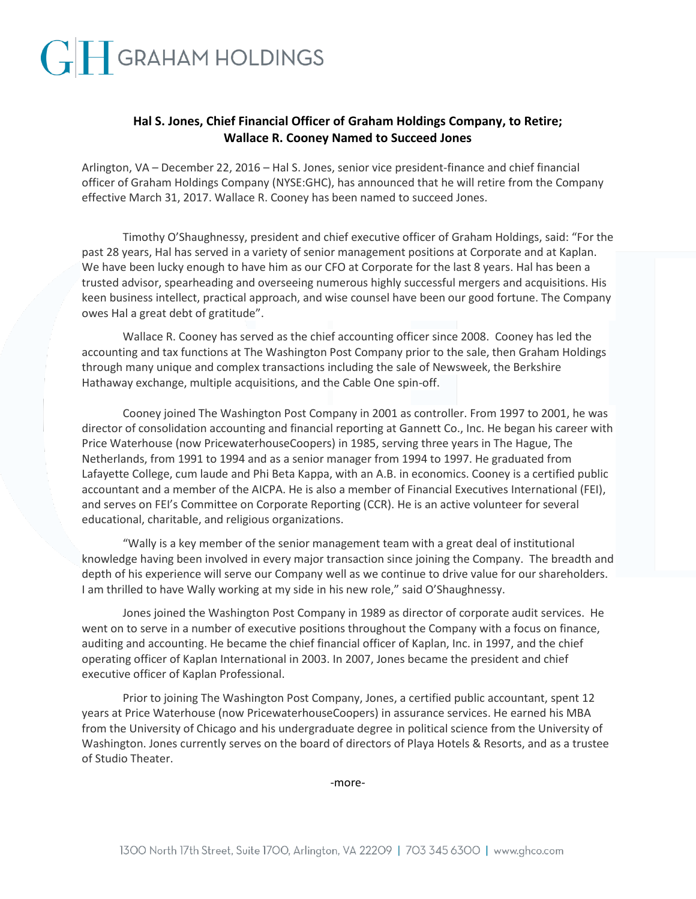## **Hal S. Jones, Chief Financial Officer of Graham Holdings Company, to Retire; Wallace R. Cooney Named to Succeed Jones**

Arlington, VA – December 22, 2016 – Hal S. Jones, senior vice president-finance and chief financial officer of Graham Holdings Company (NYSE:GHC), has announced that he will retire from the Company effective March 31, 2017. Wallace R. Cooney has been named to succeed Jones.

Timothy O'Shaughnessy, president and chief executive officer of Graham Holdings, said: "For the past 28 years, Hal has served in a variety of senior management positions at Corporate and at Kaplan. We have been lucky enough to have him as our CFO at Corporate for the last 8 years. Hal has been a trusted advisor, spearheading and overseeing numerous highly successful mergers and acquisitions. His keen business intellect, practical approach, and wise counsel have been our good fortune. The Company owes Hal a great debt of gratitude".

Wallace R. Cooney has served as the chief accounting officer since 2008. Cooney has led the accounting and tax functions at The Washington Post Company prior to the sale, then Graham Holdings through many unique and complex transactions including the sale of Newsweek, the Berkshire Hathaway exchange, multiple acquisitions, and the Cable One spin-off.

Cooney joined The Washington Post Company in 2001 as controller. From 1997 to 2001, he was director of consolidation accounting and financial reporting at Gannett Co., Inc. He began his career with Price Waterhouse (now PricewaterhouseCoopers) in 1985, serving three years in The Hague, The Netherlands, from 1991 to 1994 and as a senior manager from 1994 to 1997. He graduated from Lafayette College, cum laude and Phi Beta Kappa, with an A.B. in economics. Cooney is a certified public accountant and a member of the AICPA. He is also a member of Financial Executives International (FEI), and serves on FEI's Committee on Corporate Reporting (CCR). He is an active volunteer for several educational, charitable, and religious organizations.

"Wally is a key member of the senior management team with a great deal of institutional knowledge having been involved in every major transaction since joining the Company. The breadth and depth of his experience will serve our Company well as we continue to drive value for our shareholders. I am thrilled to have Wally working at my side in his new role," said O'Shaughnessy.

Jones joined the Washington Post Company in 1989 as director of corporate audit services. He went on to serve in a number of executive positions throughout the Company with a focus on finance, auditing and accounting. He became the chief financial officer of Kaplan, Inc. in 1997, and the chief operating officer of Kaplan International in 2003. In 2007, Jones became the president and chief executive officer of Kaplan Professional.

Prior to joining The Washington Post Company, Jones, a certified public accountant, spent 12 years at Price Waterhouse (now PricewaterhouseCoopers) in assurance services. He earned his MBA from the University of Chicago and his undergraduate degree in political science from the University of Washington. Jones currently serves on the board of directors of Playa Hotels & Resorts, and as a trustee of Studio Theater.

-more-